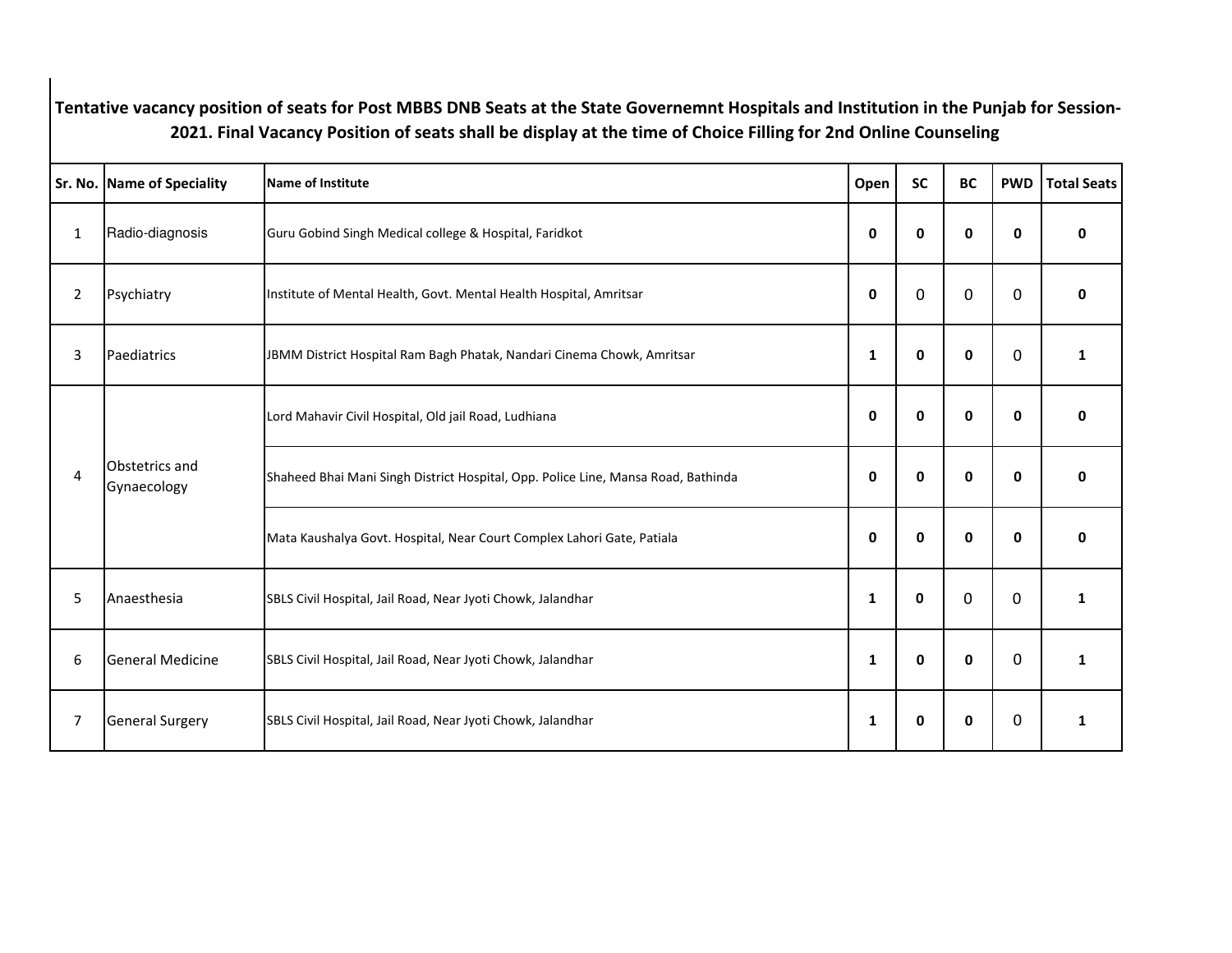|                | Sr. No. Name of Speciality    | <b>Name of Institute</b>                                                          | Open         | <b>SC</b>    | <b>BC</b>    | <b>PWD</b>  | <b>Total Seats</b> |
|----------------|-------------------------------|-----------------------------------------------------------------------------------|--------------|--------------|--------------|-------------|--------------------|
| $1\,$          | Radio-diagnosis               | Guru Gobind Singh Medical college & Hospital, Faridkot                            | $\mathbf{0}$ | 0            | $\mathbf 0$  | $\mathbf 0$ | o                  |
| $\overline{2}$ | Psychiatry                    | Institute of Mental Health, Govt. Mental Health Hospital, Amritsar                | 0            | $\Omega$     | $\mathbf 0$  | 0           | n                  |
| 3              | Paediatrics                   | JBMM District Hospital Ram Bagh Phatak, Nandari Cinema Chowk, Amritsar            | 1            | 0            | $\mathbf 0$  | $\mathbf 0$ | 1                  |
| 4              | Obstetrics and<br>Gynaecology | Lord Mahavir Civil Hospital, Old jail Road, Ludhiana                              | 0            | 0            | $\mathbf 0$  | 0           |                    |
|                |                               | Shaheed Bhai Mani Singh District Hospital, Opp. Police Line, Mansa Road, Bathinda | 0            | 0            | $\mathbf 0$  | 0           | n                  |
|                |                               | Mata Kaushalya Govt. Hospital, Near Court Complex Lahori Gate, Patiala            | $\mathbf{0}$ | 0            | $\mathbf{0}$ | 0           |                    |
| 5              | Anaesthesia                   | SBLS Civil Hospital, Jail Road, Near Jyoti Chowk, Jalandhar                       | 1            | 0            | 0            | 0           | 1                  |
| 6              | <b>General Medicine</b>       | SBLS Civil Hospital, Jail Road, Near Jyoti Chowk, Jalandhar                       | 1            | 0            | 0            | 0           | 1                  |
| $\overline{7}$ | <b>General Surgery</b>        | SBLS Civil Hospital, Jail Road, Near Jyoti Chowk, Jalandhar                       | 1            | <sup>0</sup> | $\mathbf{0}$ | 0           | 1.                 |

**Tentative vacancy position of seats for Post MBBS DNB Seats at the State Governemnt Hospitals and Institution in the Punjab for Session-2021. Final Vacancy Position of seats shall be display at the time of Choice Filling for 2nd Online Counseling**